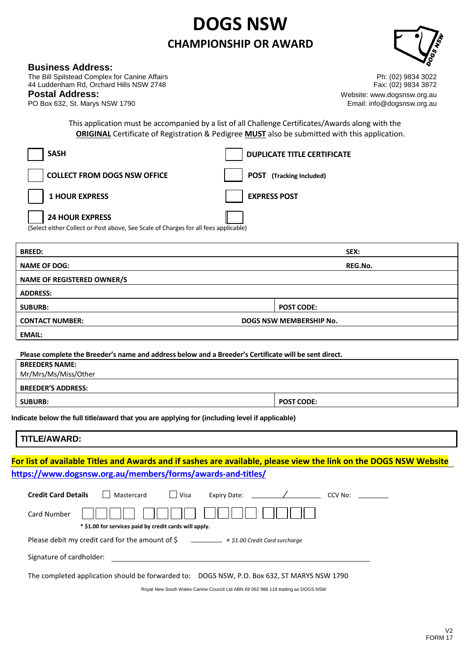## **DOGS NSW CHAMPIONSHIP OR AWARD**



## **Business Address:**

The Bill Spilstead Complex for Canine Affairs Ph: (02) 9834 3022 44 Luddenham Rd, Orchard Hills NSW 2748 Fax: (02) 9834 3872

PO Box 632, St. Marys NSW 1790

**Postal Address:**<br>
Postal **Address:**<br>
PO Box 632, St. Marys NSW 1790<br>
and the street of the street of the street of the street of the street of the street of the street of the street of the street of the street of the stre

This application must be accompanied by a list of all Challenge Certificates/Awards along with the **ORIGINAL** Certificate of Registration & Pedigree **MUST** also be submitted with this application.

| <b>BREED:</b>                                                                       | SEX:                               |
|-------------------------------------------------------------------------------------|------------------------------------|
| (Select either Collect or Post above, See Scale of Charges for all fees applicable) |                                    |
| <b>24 HOUR EXPRESS</b>                                                              |                                    |
| <b>1 HOUR EXPRESS</b>                                                               | <b>EXPRESS POST</b>                |
| <b>COLLECT FROM DOGS NSW OFFICE</b>                                                 | (Tracking Included)<br><b>POST</b> |
| <b>SASH</b>                                                                         | <b>DUPLICATE TITLE CERTIFICATE</b> |

| .                                 | ーーハ                     |
|-----------------------------------|-------------------------|
| <b>NAME OF DOG:</b>               | REG.No.                 |
| <b>NAME OF REGISTERED OWNER/S</b> |                         |
| <b>ADDRESS:</b>                   |                         |
| <b>SUBURB:</b>                    | <b>POST CODE:</b>       |
| <b>CONTACT NUMBER:</b>            | DOGS NSW MEMBERSHIP No. |
| EMAIL:                            |                         |

**Please complete the Breeder's name and address below and a Breeder's Certificate will be sent direct.** 

| <b>BREEDERS NAME:</b>     |                   |
|---------------------------|-------------------|
| Mr/Mrs/Ms/Miss/Other      |                   |
| <b>BREEDER'S ADDRESS:</b> |                   |
| <b>SUBURB:</b>            | <b>POST CODE:</b> |

**Indicate below the full title/award that you are applying for (including level if applicable)** 

**TITLE/AWARD:** 

**For list of available Titles and Awards and if sashes are available, please view the link on the DOGS NSW Website <https://www.dogsnsw.org.au/members/forms/awards-and-titles/>**

| <b>Credit Card Details</b><br>Mastercard<br>Expiry Date: _____<br>Visa<br>CCV No:                                 |  |  |
|-------------------------------------------------------------------------------------------------------------------|--|--|
| Card Number<br>* \$1.00 for services paid by credit cards will apply.                                             |  |  |
| Please debit my credit card for the amount of $\frac{2}{5}$ $\frac{2}{5}$ $\frac{4}{51.00}$ Credit Card surcharge |  |  |
| Signature of cardholder:                                                                                          |  |  |
| The completed application should be forwarded to: DOGS NSW, P.O. Box 632, ST MARYS NSW 1790                       |  |  |

Royal New South Wales Canine Council Ltd ABN 69 062 986 118 trading as DOGS NSW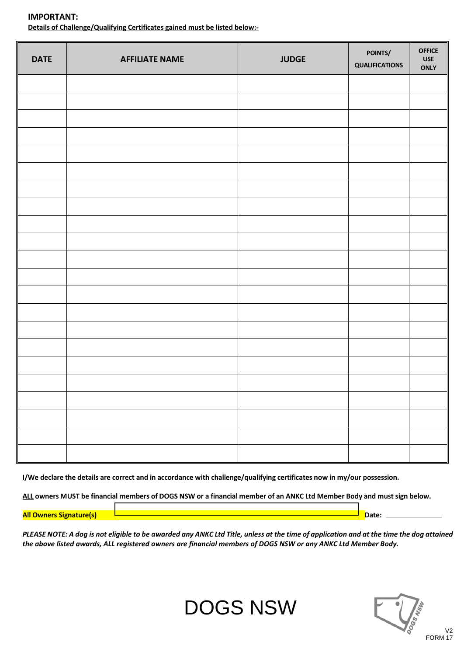| <b>DATE</b> | <b>AFFILIATE NAME</b> | <b>JUDGE</b> | POINTS/<br>QUALIFICATIONS | <b>OFFICE</b><br><b>USE</b><br><b>ONLY</b> |
|-------------|-----------------------|--------------|---------------------------|--------------------------------------------|
|             |                       |              |                           |                                            |
|             |                       |              |                           |                                            |
|             |                       |              |                           |                                            |
|             |                       |              |                           |                                            |
|             |                       |              |                           |                                            |
|             |                       |              |                           |                                            |
|             |                       |              |                           |                                            |
|             |                       |              |                           |                                            |
|             |                       |              |                           |                                            |
|             |                       |              |                           |                                            |
|             |                       |              |                           |                                            |
|             |                       |              |                           |                                            |
|             |                       |              |                           |                                            |
|             |                       |              |                           |                                            |
|             |                       |              |                           |                                            |
|             |                       |              |                           |                                            |
|             |                       |              |                           |                                            |
|             |                       |              |                           |                                            |
|             |                       |              |                           |                                            |
|             |                       |              |                           |                                            |
|             |                       |              |                           |                                            |
|             |                       |              |                           |                                            |

**IMPORTANT: Details of Challenge/Qualifying Certificates gained must be listed below:-** 

**I/We declare the details are correct and in accordance with challenge/qualifying certificates now in my/our possession.** 

**ALL owners MUST be financial members of DOGS NSW or a financial member of an ANKC Ltd Member Body and must sign below.** 

**All Owners Signature(s) 2018 - All Owners Signature(s) 2018** - 2018 - 2018 - 2018 - 2018 - 2018 - 2018 - 2018 - 2018

*PLEASE NOTE: A dog is not eligible to be awarded any ANKC Ltd Title, unless at the time of application and at the time the dog attained the above listed awards, ALL registered owners are financial members of DOGS NSW or any ANKC Ltd Member Body.*